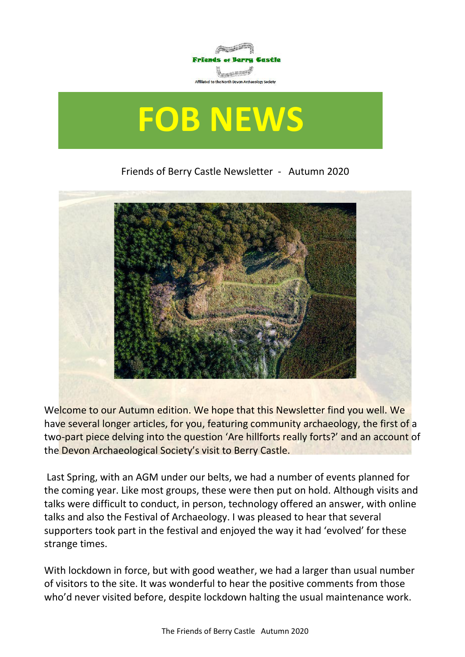

# **FOB NEWS**

Friends of Berry Castle Newsletter - Autumn 2020



Welcome to our Autumn edition. We hope that this Newsletter find you well. We have several longer articles, for you, featuring community archaeology, the first of a two-part piece delving into the question 'Are hillforts really forts?' and an account of the Devon Archaeological Society's visit to Berry Castle.

Last Spring, with an AGM under our belts, we had a number of events planned for the coming year. Like most groups, these were then put on hold. Although visits and talks were difficult to conduct, in person, technology offered an answer, with online talks and also the Festival of Archaeology. I was pleased to hear that several supporters took part in the festival and enjoyed the way it had 'evolved' for these strange times.

With lockdown in force, but with good weather, we had a larger than usual number of visitors to the site. It was wonderful to hear the positive comments from those who'd never visited before, despite lockdown halting the usual maintenance work.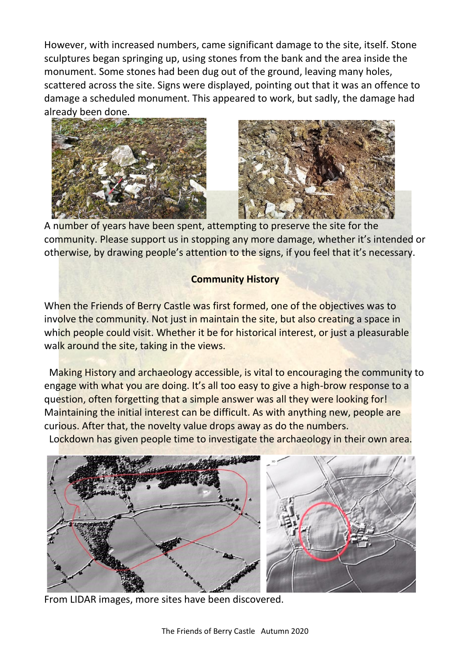However, with increased numbers, came significant damage to the site, itself. Stone sculptures began springing up, using stones from the bank and the area inside the monument. Some stones had been dug out of the ground, leaving many holes, scattered across the site. Signs were displayed, pointing out that it was an offence to damage a scheduled monument. This appeared to work, but sadly, the damage had already been done.





A number of years have been spent, attempting to preserve the site for the community. Please support us in stopping any more damage, whether it's intended or otherwise, by drawing people's attention to the signs, if you feel that it's necessary.

#### **Community History**

When the Friends of Berry Castle was first formed, one of the objectives was to involve the community. Not just in maintain the site, but also creating a space in which people could visit. Whether it be for historical interest, or just a pleasurable walk around the site, taking in the views.

 Making History and archaeology accessible, is vital to encouraging the community to engage with what you are doing. It's all too easy to give a high-brow response to a question, often forgetting that a simple answer was all they were looking for! Maintaining the initial interest can be difficult. As with anything new, people are curious. After that, the novelty value drops away as do the numbers.

Lockdown has given people time to investigate the archaeology in their own area.



From LIDAR images, more sites have been discovered.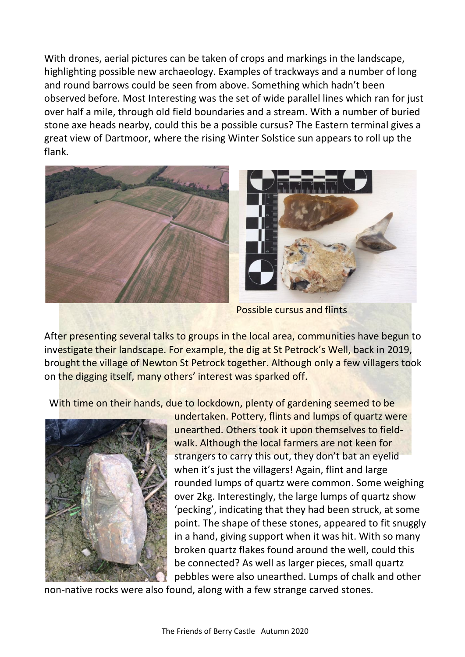With drones, aerial pictures can be taken of crops and markings in the landscape, highlighting possible new archaeology. Examples of trackways and a number of long and round barrows could be seen from above. Something which hadn't been observed before. Most Interesting was the set of wide parallel lines which ran for just over half a mile, through old field boundaries and a stream. With a number of buried stone axe heads nearby, could this be a possible cursus? The Eastern terminal gives a great view of Dartmoor, where the rising Winter Solstice sun appears to roll up the flank.



Possible cursus and flints

After presenting several talks to groups in the local area, communities have begun to investigate their landscape. For example, the dig at St Petrock's Well, back in 2019, brought the village of Newton St Petrock together. Although only a few villagers took on the digging itself, many others' interest was sparked off.

With time on their hands, due to lockdown, plenty of gardening seemed to be



undertaken. Pottery, flints and lumps of quartz were unearthed. Others took it upon themselves to fieldwalk. Although the local farmers are not keen for strangers to carry this out, they don't bat an eyelid when it's just the villagers! Again, flint and large rounded lumps of quartz were common. Some weighing over 2kg. Interestingly, the large lumps of quartz show 'pecking', indicating that they had been struck, at some point. The shape of these stones, appeared to fit snuggly in a hand, giving support when it was hit. With so many broken quartz flakes found around the well, could this be connected? As well as larger pieces, small quartz pebbles were also unearthed. Lumps of chalk and other

non-native rocks were also found, along with a few strange carved stones.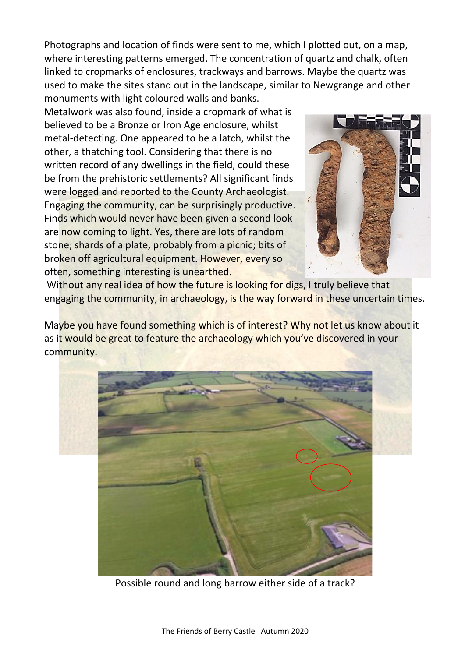Photographs and location of finds were sent to me, which I plotted out, on a map, where interesting patterns emerged. The concentration of quartz and chalk, often linked to cropmarks of enclosures, trackways and barrows. Maybe the quartz was used to make the sites stand out in the landscape, similar to Newgrange and other monuments with light coloured walls and banks.

Metalwork was also found, inside a cropmark of what is believed to be a Bronze or Iron Age enclosure, whilst metal-detecting. One appeared to be a latch, whilst the other, a thatching tool. Considering that there is no written record of any dwellings in the field, could these be from the prehistoric settlements? All significant finds were logged and reported to the County Archaeologist. Engaging the community, can be surprisingly productive. Finds which would never have been given a second look are now coming to light. Yes, there are lots of random stone; shards of a plate, probably from a picnic; bits of broken off agricultural equipment. However, every so often, something interesting is unearthed.



Without any real idea of how the future is looking for digs, I truly believe that engaging the community, in archaeology, is the way forward in these uncertain times.

Maybe you have found something which is of interest? Why not let us know about it as it would be great to feature the archaeology which you've discovered in your community.



Possible round and long barrow either side of a track?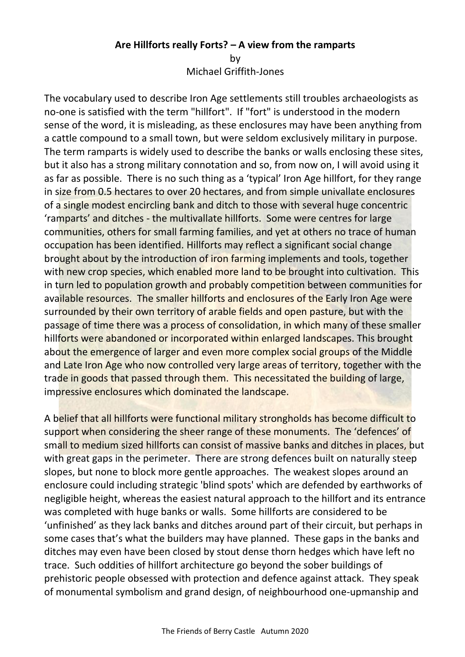## **Are Hillforts really Forts? – A view from the ramparts**

by Michael Griffith-Jones

The vocabulary used to describe Iron Age settlements still troubles archaeologists as no-one is satisfied with the term "hillfort". If "fort" is understood in the modern sense of the word, it is misleading, as these enclosures may have been anything from a cattle compound to a small town, but were seldom exclusively military in purpose. The term ramparts is widely used to describe the banks or walls enclosing these sites, but it also has a strong military connotation and so, from now on, I will avoid using it as far as possible. There is no such thing as a 'typical' Iron Age hillfort, for they range in size from 0.5 hectares to over 20 hectares, and from simple univallate enclosures of a single modest encircling bank and ditch to those with several huge concentric 'ramparts' and ditches - the multivallate hillforts. Some were centres for large communities, others for small farming families, and yet at others no trace of human occupation has been identified. Hillforts may reflect a significant social change brought about by the introduction of iron farming implements and tools, together with new crop species, which enabled more land to be brought into cultivation. This in turn led to population growth and probably competition between communities for available resources. The smaller hillforts and enclosures of the Early Iron Age were surrounded by their own territory of arable fields and open pasture, but with the passage of time there was a process of consolidation, in which many of these smaller hillforts were abandoned or incorporated within enlarged landscapes. This brought about the emergence of larger and even more complex social groups of the Middle and Late Iron Age who now controlled very large areas of territory, together with the trade in goods that passed through them. This necessitated the building of large, impressive enclosures which dominated the landscape.

A belief that all hillforts were functional military strongholds has become difficult to support when considering the sheer range of these monuments. The 'defences' of small to medium sized hillforts can consist of massive banks and ditches in places, but with great gaps in the perimeter. There are strong defences built on naturally steep slopes, but none to block more gentle approaches. The weakest slopes around an enclosure could including strategic 'blind spots' which are defended by earthworks of negligible height, whereas the easiest natural approach to the hillfort and its entrance was completed with huge banks or walls. Some hillforts are considered to be 'unfinished' as they lack banks and ditches around part of their circuit, but perhaps in some cases that's what the builders may have planned. These gaps in the banks and ditches may even have been closed by stout dense thorn hedges which have left no trace. Such oddities of hillfort architecture go beyond the sober buildings of prehistoric people obsessed with protection and defence against attack. They speak of monumental symbolism and grand design, of neighbourhood one-upmanship and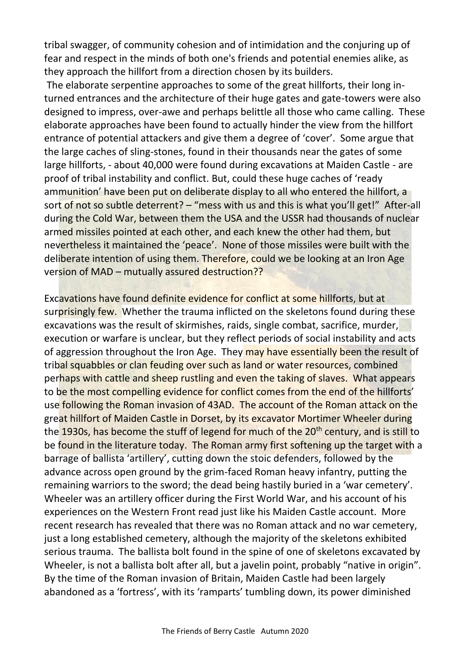tribal swagger, of community cohesion and of intimidation and the conjuring up of fear and respect in the minds of both one's friends and potential enemies alike, as they approach the hillfort from a direction chosen by its builders.

The elaborate serpentine approaches to some of the great hillforts, their long inturned entrances and the architecture of their huge gates and gate-towers were also designed to impress, over-awe and perhaps belittle all those who came calling. These elaborate approaches have been found to actually hinder the view from the hillfort entrance of potential attackers and give them a degree of 'cover'. Some argue that the large caches of sling-stones, found in their thousands near the gates of some large hillforts, - about 40,000 were found during excavations at Maiden Castle - are proof of tribal instability and conflict. But, could these huge caches of 'ready ammunition' have been put on deliberate display to all who entered the hillfort, a sort of not so subtle deterrent? – "mess with us and this is what you'll get!" After-all during the Cold War, between them the USA and the USSR had thousands of nuclear armed missiles pointed at each other, and each knew the other had them, but nevertheless it maintained the 'peace'. None of those missiles were built with the deliberate intention of using them. Therefore, could we be looking at an Iron Age version of MAD – mutually assured destruction??

Excavations have found definite evidence for conflict at some hillforts, but at surprisingly few. Whether the trauma inflicted on the skeletons found during these excavations was the result of skirmishes, raids, single combat, sacrifice, murder, execution or warfare is unclear, but they reflect periods of social instability and acts of aggression throughout the Iron Age. They may have essentially been the result of tribal squabbles or clan feuding over such as land or water resources, combined perhaps with cattle and sheep rustling and even the taking of slaves. What appears to be the most compelling evidence for conflict comes from the end of the hillforts' use following the Roman invasion of 43AD. The account of the Roman attack on the great hillfort of Maiden Castle in Dorset, by its excavator Mortimer Wheeler during the 1930s, has become the stuff of legend for much of the 20<sup>th</sup> century, and is still to be found in the literature today. The Roman army first softening up the target with a barrage of ballista 'artillery', cutting down the stoic defenders, followed by the advance across open ground by the grim-faced Roman heavy infantry, putting the remaining warriors to the sword; the dead being hastily buried in a 'war cemetery'. Wheeler was an artillery officer during the First World War, and his account of his experiences on the Western Front read just like his Maiden Castle account. More recent research has revealed that there was no Roman attack and no war cemetery, just a long established cemetery, although the majority of the skeletons exhibited serious trauma. The ballista bolt found in the spine of one of skeletons excavated by Wheeler, is not a ballista bolt after all, but a javelin point, probably "native in origin". By the time of the Roman invasion of Britain, Maiden Castle had been largely abandoned as a 'fortress', with its 'ramparts' tumbling down, its power diminished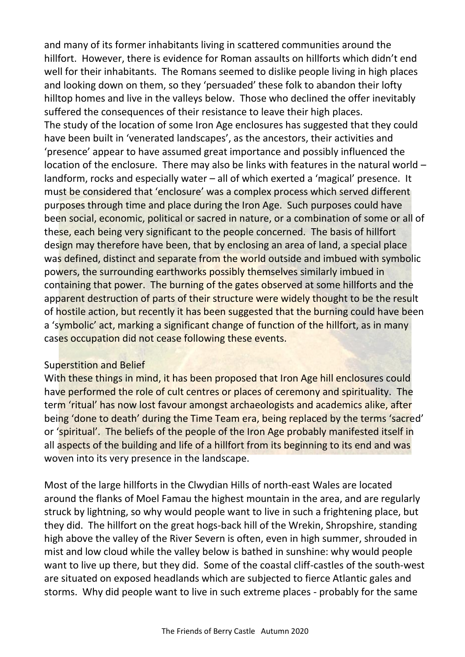and many of its former inhabitants living in scattered communities around the hillfort. However, there is evidence for Roman assaults on hillforts which didn't end well for their inhabitants. The Romans seemed to dislike people living in high places and looking down on them, so they 'persuaded' these folk to abandon their lofty hilltop homes and live in the valleys below. Those who declined the offer inevitably suffered the consequences of their resistance to leave their high places. The study of the location of some Iron Age enclosures has suggested that they could have been built in 'venerated landscapes', as the ancestors, their activities and 'presence' appear to have assumed great importance and possibly influenced the location of the enclosure. There may also be links with features in the natural world – landform, rocks and especially water – all of which exerted a 'magical' presence. It must be considered that 'enclosure' was a complex process which served different purposes through time and place during the Iron Age. Such purposes could have been social, economic, political or sacred in nature, or a combination of some or all of these, each being very significant to the people concerned. The basis of hillfort design may therefore have been, that by enclosing an area of land, a special place was defined, distinct and separate from the world outside and imbued with symbolic powers, the surrounding earthworks possibly themselves similarly imbued in containing that power. The burning of the gates observed at some hillforts and the apparent destruction of parts of their structure were widely thought to be the result of hostile action, but recently it has been suggested that the burning could have been a 'symbolic' act, marking a significant change of function of the hillfort, as in many cases occupation did not cease following these events.

#### Superstition and Belief

With these things in mind, it has been proposed that Iron Age hill enclosures could have performed the role of cult centres or places of ceremony and spirituality. The term 'ritual' has now lost favour amongst archaeologists and academics alike, after being 'done to death' during the Time Team era, being replaced by the terms 'sacred' or 'spiritual'. The beliefs of the people of the Iron Age probably manifested itself in all aspects of the building and life of a hillfort from its beginning to its end and was woven into its very presence in the landscape.

Most of the large hillforts in the Clwydian Hills of north-east Wales are located around the flanks of Moel Famau the highest mountain in the area, and are regularly struck by lightning, so why would people want to live in such a frightening place, but they did. The hillfort on the great hogs-back hill of the Wrekin, Shropshire, standing high above the valley of the River Severn is often, even in high summer, shrouded in mist and low cloud while the valley below is bathed in sunshine: why would people want to live up there, but they did. Some of the coastal cliff-castles of the south-west are situated on exposed headlands which are subjected to fierce Atlantic gales and storms. Why did people want to live in such extreme places - probably for the same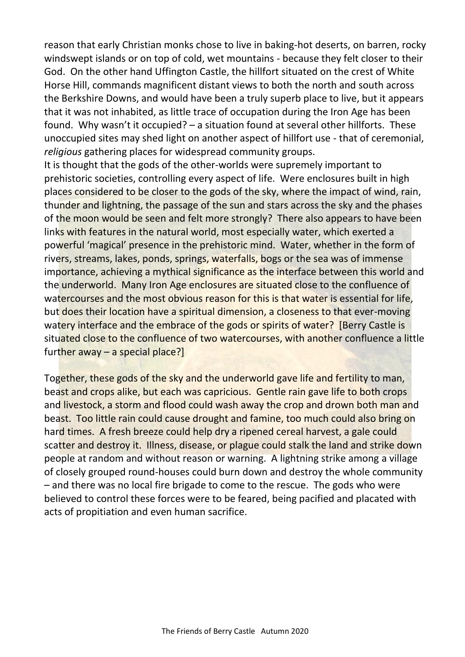reason that early Christian monks chose to live in baking-hot deserts, on barren, rocky windswept islands or on top of cold, wet mountains - because they felt closer to their God. On the other hand Uffington Castle, the hillfort situated on the crest of White Horse Hill, commands magnificent distant views to both the north and south across the Berkshire Downs, and would have been a truly superb place to live, but it appears that it was not inhabited, as little trace of occupation during the Iron Age has been found. Why wasn't it occupied? – a situation found at several other hillforts. These unoccupied sites may shed light on another aspect of hillfort use - that of ceremonial, *religious* gathering places for widespread community groups.

It is thought that the gods of the other-worlds were supremely important to prehistoric societies, controlling every aspect of life. Were enclosures built in high places considered to be closer to the gods of the sky, where the impact of wind, rain, thunder and lightning, the passage of the sun and stars across the sky and the phases of the moon would be seen and felt more strongly? There also appears to have been links with features in the natural world, most especially water, which exerted a powerful 'magical' presence in the prehistoric mind. Water, whether in the form of rivers, streams, lakes, ponds, springs, waterfalls, bogs or the sea was of immense importance, achieving a mythical significance as the interface between this world and the underworld. Many Iron Age enclosures are situated close to the confluence of watercourses and the most obvious reason for this is that water is essential for life, but does their location have a spiritual dimension, a closeness to that ever-moving watery interface and the embrace of the gods or spirits of water? [Berry Castle is situated close to the confluence of two watercourses, with another confluence a little further away – a special place?]

Together, these gods of the sky and the underworld gave life and fertility to man, beast and crops alike, but each was capricious. Gentle rain gave life to both crops and livestock, a storm and flood could wash away the crop and drown both man and beast. Too little rain could cause drought and famine, too much could also bring on hard times. A fresh breeze could help dry a ripened cereal harvest, a gale could scatter and destroy it. Illness, disease, or plague could stalk the land and strike down people at random and without reason or warning. A lightning strike among a village of closely grouped round-houses could burn down and destroy the whole community – and there was no local fire brigade to come to the rescue. The gods who were believed to control these forces were to be feared, being pacified and placated with acts of propitiation and even human sacrifice.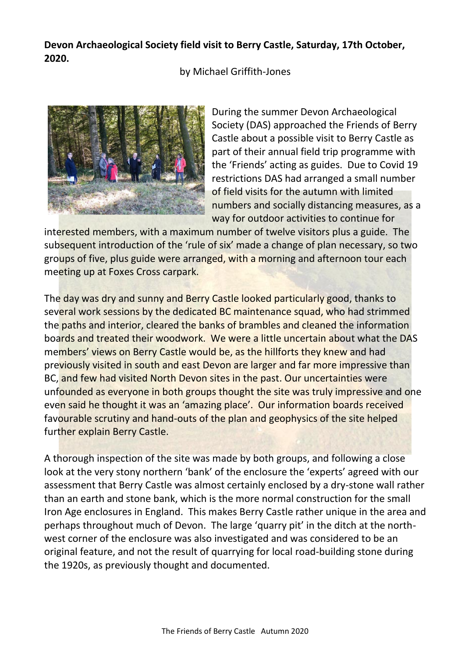### **Devon Archaeological Society field visit to Berry Castle, Saturday, 17th October, 2020.**

by Michael Griffith-Jones



During the summer Devon Archaeological Society (DAS) approached the Friends of Berry Castle about a possible visit to Berry Castle as part of their annual field trip programme with the 'Friends' acting as guides. Due to Covid 19 restrictions DAS had arranged a small number of field visits for the autumn with limited numbers and socially distancing measures, as a way for outdoor activities to continue for

interested members, with a maximum number of twelve visitors plus a guide. The subsequent introduction of the 'rule of six' made a change of plan necessary, so two groups of five, plus guide were arranged, with a morning and afternoon tour each meeting up at Foxes Cross carpark.

The day was dry and sunny and Berry Castle looked particularly good, thanks to several work sessions by the dedicated BC maintenance squad, who had strimmed the paths and interior, cleared the banks of brambles and cleaned the information boards and treated their woodwork. We were a little uncertain about what the DAS members' views on Berry Castle would be, as the hillforts they knew and had previously visited in south and east Devon are larger and far more impressive than BC, and few had visited North Devon sites in the past. Our uncertainties were unfounded as everyone in both groups thought the site was truly impressive and one even said he thought it was an 'amazing place'. Our information boards received favourable scrutiny and hand-outs of the plan and geophysics of the site helped further explain Berry Castle.

A thorough inspection of the site was made by both groups, and following a close look at the very stony northern 'bank' of the enclosure the 'experts' agreed with our assessment that Berry Castle was almost certainly enclosed by a dry-stone wall rather than an earth and stone bank, which is the more normal construction for the small Iron Age enclosures in England. This makes Berry Castle rather unique in the area and perhaps throughout much of Devon. The large 'quarry pit' in the ditch at the northwest corner of the enclosure was also investigated and was considered to be an original feature, and not the result of quarrying for local road-building stone during the 1920s, as previously thought and documented.